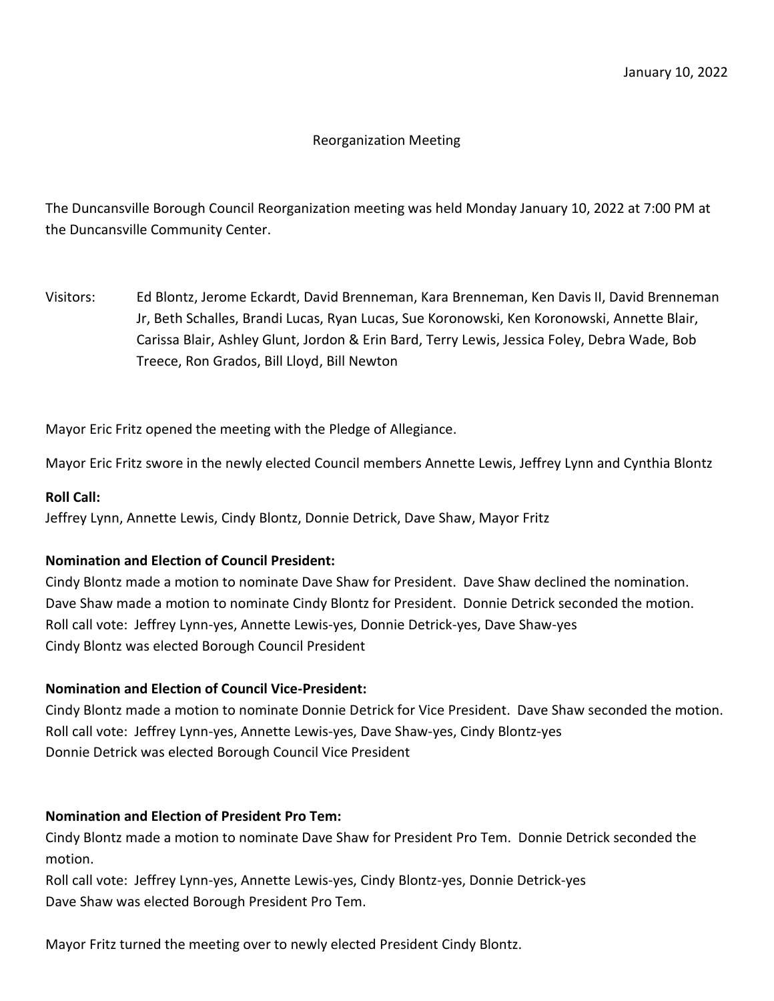### Reorganization Meeting

The Duncansville Borough Council Reorganization meeting was held Monday January 10, 2022 at 7:00 PM at the Duncansville Community Center.

Visitors: Ed Blontz, Jerome Eckardt, David Brenneman, Kara Brenneman, Ken Davis II, David Brenneman Jr, Beth Schalles, Brandi Lucas, Ryan Lucas, Sue Koronowski, Ken Koronowski, Annette Blair, Carissa Blair, Ashley Glunt, Jordon & Erin Bard, Terry Lewis, Jessica Foley, Debra Wade, Bob Treece, Ron Grados, Bill Lloyd, Bill Newton

Mayor Eric Fritz opened the meeting with the Pledge of Allegiance.

Mayor Eric Fritz swore in the newly elected Council members Annette Lewis, Jeffrey Lynn and Cynthia Blontz

#### **Roll Call:**

Jeffrey Lynn, Annette Lewis, Cindy Blontz, Donnie Detrick, Dave Shaw, Mayor Fritz

#### **Nomination and Election of Council President:**

Cindy Blontz made a motion to nominate Dave Shaw for President. Dave Shaw declined the nomination. Dave Shaw made a motion to nominate Cindy Blontz for President. Donnie Detrick seconded the motion. Roll call vote: Jeffrey Lynn-yes, Annette Lewis-yes, Donnie Detrick-yes, Dave Shaw-yes Cindy Blontz was elected Borough Council President

#### **Nomination and Election of Council Vice-President:**

Cindy Blontz made a motion to nominate Donnie Detrick for Vice President. Dave Shaw seconded the motion. Roll call vote: Jeffrey Lynn-yes, Annette Lewis-yes, Dave Shaw-yes, Cindy Blontz-yes Donnie Detrick was elected Borough Council Vice President

#### **Nomination and Election of President Pro Tem:**

Cindy Blontz made a motion to nominate Dave Shaw for President Pro Tem. Donnie Detrick seconded the motion.

Roll call vote: Jeffrey Lynn-yes, Annette Lewis-yes, Cindy Blontz-yes, Donnie Detrick-yes Dave Shaw was elected Borough President Pro Tem.

Mayor Fritz turned the meeting over to newly elected President Cindy Blontz.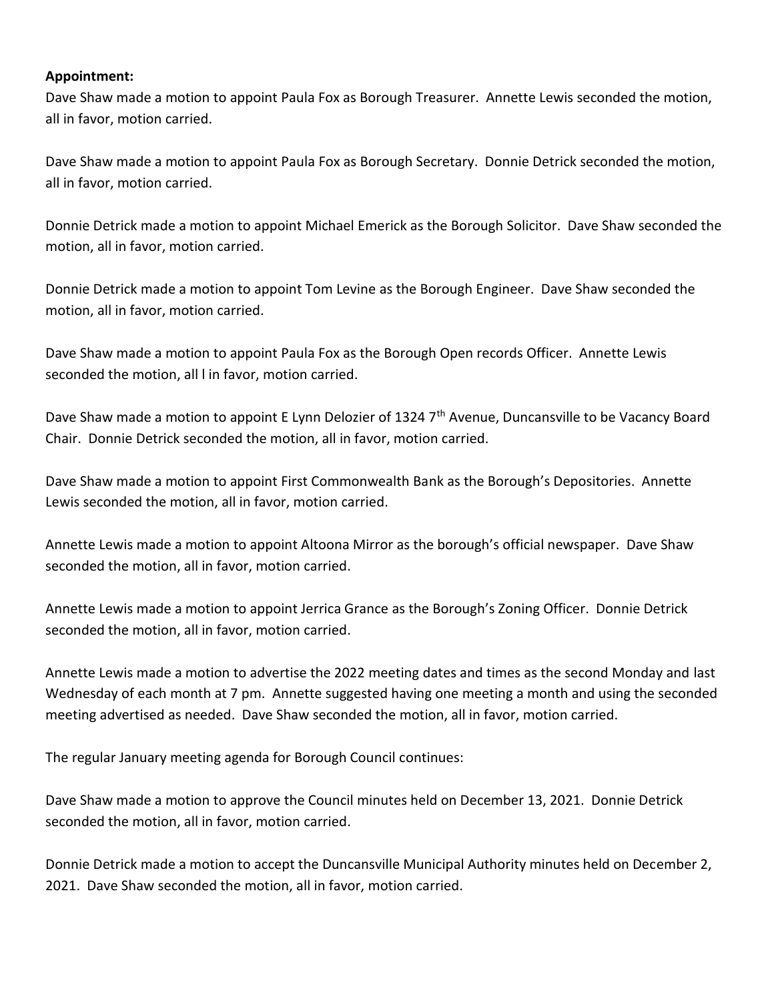#### **Appointment:**

Dave Shaw made a motion to appoint Paula Fox as Borough Treasurer. Annette Lewis seconded the motion, all in favor, motion carried.

Dave Shaw made a motion to appoint Paula Fox as Borough Secretary. Donnie Detrick seconded the motion, all in favor, motion carried.

Donnie Detrick made a motion to appoint Michael Emerick as the Borough Solicitor. Dave Shaw seconded the motion, all in favor, motion carried.

Donnie Detrick made a motion to appoint Tom Levine as the Borough Engineer. Dave Shaw seconded the motion, all in favor, motion carried.

Dave Shaw made a motion to appoint Paula Fox as the Borough Open records Officer. Annette Lewis seconded the motion, all l in favor, motion carried.

Dave Shaw made a motion to appoint E Lynn Delozier of 1324 7<sup>th</sup> Avenue, Duncansville to be Vacancy Board Chair. Donnie Detrick seconded the motion, all in favor, motion carried.

Dave Shaw made a motion to appoint First Commonwealth Bank as the Borough's Depositories. Annette Lewis seconded the motion, all in favor, motion carried.

Annette Lewis made a motion to appoint Altoona Mirror as the borough's official newspaper. Dave Shaw seconded the motion, all in favor, motion carried.

Annette Lewis made a motion to appoint Jerrica Grance as the Borough's Zoning Officer. Donnie Detrick seconded the motion, all in favor, motion carried.

Annette Lewis made a motion to advertise the 2022 meeting dates and times as the second Monday and last Wednesday of each month at 7 pm. Annette suggested having one meeting a month and using the seconded meeting advertised as needed. Dave Shaw seconded the motion, all in favor, motion carried.

The regular January meeting agenda for Borough Council continues:

Dave Shaw made a motion to approve the Council minutes held on December 13, 2021. Donnie Detrick seconded the motion, all in favor, motion carried.

Donnie Detrick made a motion to accept the Duncansville Municipal Authority minutes held on December 2, 2021. Dave Shaw seconded the motion, all in favor, motion carried.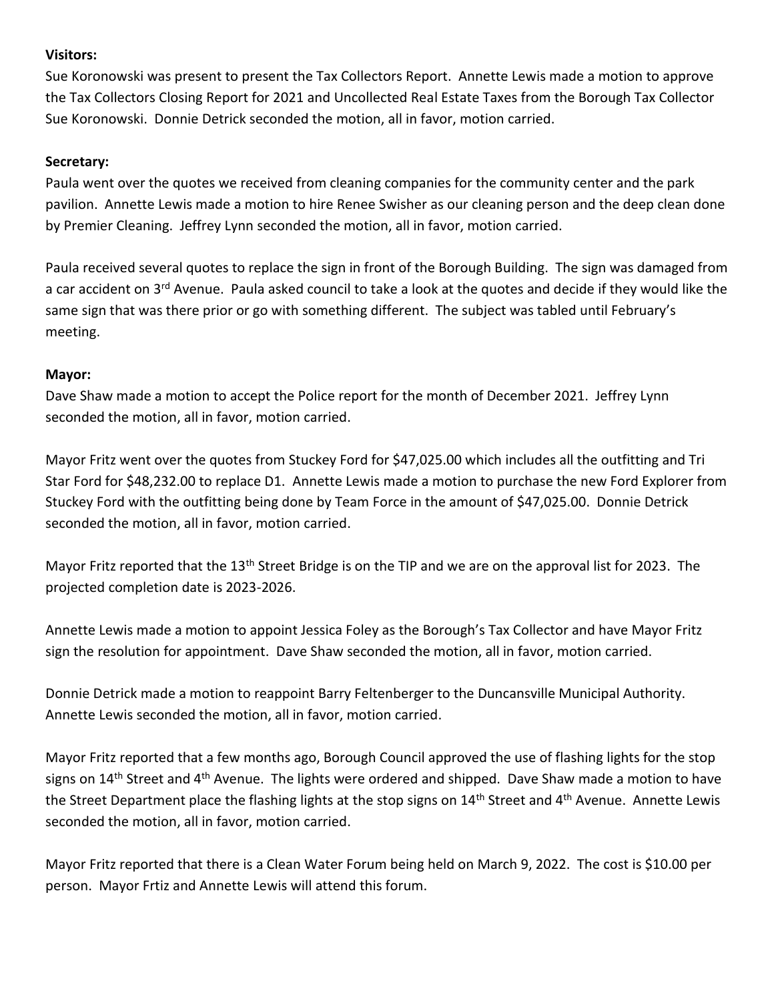## **Visitors:**

Sue Koronowski was present to present the Tax Collectors Report. Annette Lewis made a motion to approve the Tax Collectors Closing Report for 2021 and Uncollected Real Estate Taxes from the Borough Tax Collector Sue Koronowski. Donnie Detrick seconded the motion, all in favor, motion carried.

## **Secretary:**

Paula went over the quotes we received from cleaning companies for the community center and the park pavilion. Annette Lewis made a motion to hire Renee Swisher as our cleaning person and the deep clean done by Premier Cleaning. Jeffrey Lynn seconded the motion, all in favor, motion carried.

Paula received several quotes to replace the sign in front of the Borough Building. The sign was damaged from a car accident on 3<sup>rd</sup> Avenue. Paula asked council to take a look at the quotes and decide if they would like the same sign that was there prior or go with something different. The subject was tabled until February's meeting.

## **Mayor:**

Dave Shaw made a motion to accept the Police report for the month of December 2021. Jeffrey Lynn seconded the motion, all in favor, motion carried.

Mayor Fritz went over the quotes from Stuckey Ford for \$47,025.00 which includes all the outfitting and Tri Star Ford for \$48,232.00 to replace D1. Annette Lewis made a motion to purchase the new Ford Explorer from Stuckey Ford with the outfitting being done by Team Force in the amount of \$47,025.00. Donnie Detrick seconded the motion, all in favor, motion carried.

Mayor Fritz reported that the 13<sup>th</sup> Street Bridge is on the TIP and we are on the approval list for 2023. The projected completion date is 2023-2026.

Annette Lewis made a motion to appoint Jessica Foley as the Borough's Tax Collector and have Mayor Fritz sign the resolution for appointment. Dave Shaw seconded the motion, all in favor, motion carried.

Donnie Detrick made a motion to reappoint Barry Feltenberger to the Duncansville Municipal Authority. Annette Lewis seconded the motion, all in favor, motion carried.

Mayor Fritz reported that a few months ago, Borough Council approved the use of flashing lights for the stop signs on 14<sup>th</sup> Street and 4<sup>th</sup> Avenue. The lights were ordered and shipped. Dave Shaw made a motion to have the Street Department place the flashing lights at the stop signs on 14<sup>th</sup> Street and 4<sup>th</sup> Avenue. Annette Lewis seconded the motion, all in favor, motion carried.

Mayor Fritz reported that there is a Clean Water Forum being held on March 9, 2022. The cost is \$10.00 per person. Mayor Frtiz and Annette Lewis will attend this forum.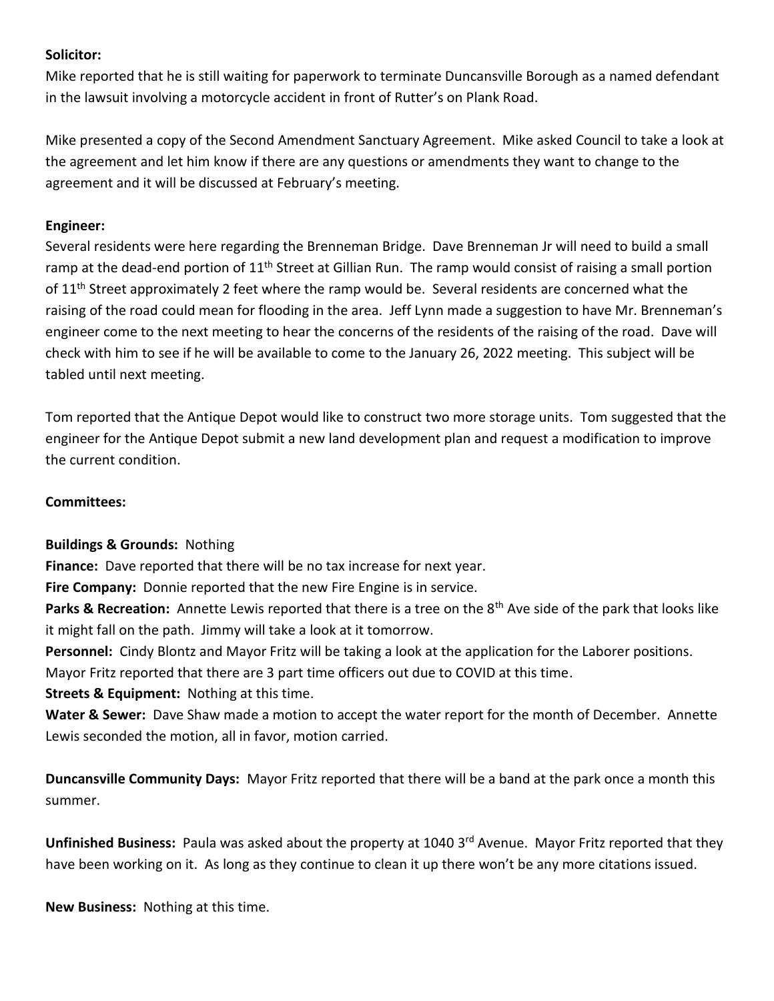## **Solicitor:**

Mike reported that he is still waiting for paperwork to terminate Duncansville Borough as a named defendant in the lawsuit involving a motorcycle accident in front of Rutter's on Plank Road.

Mike presented a copy of the Second Amendment Sanctuary Agreement. Mike asked Council to take a look at the agreement and let him know if there are any questions or amendments they want to change to the agreement and it will be discussed at February's meeting.

## **Engineer:**

Several residents were here regarding the Brenneman Bridge. Dave Brenneman Jr will need to build a small ramp at the dead-end portion of  $11<sup>th</sup>$  Street at Gillian Run. The ramp would consist of raising a small portion of 11<sup>th</sup> Street approximately 2 feet where the ramp would be. Several residents are concerned what the raising of the road could mean for flooding in the area. Jeff Lynn made a suggestion to have Mr. Brenneman's engineer come to the next meeting to hear the concerns of the residents of the raising of the road. Dave will check with him to see if he will be available to come to the January 26, 2022 meeting. This subject will be tabled until next meeting.

Tom reported that the Antique Depot would like to construct two more storage units. Tom suggested that the engineer for the Antique Depot submit a new land development plan and request a modification to improve the current condition.

### **Committees:**

# **Buildings & Grounds:** Nothing

**Finance:** Dave reported that there will be no tax increase for next year.

**Fire Company:** Donnie reported that the new Fire Engine is in service.

**Parks & Recreation:** Annette Lewis reported that there is a tree on the 8<sup>th</sup> Ave side of the park that looks like it might fall on the path. Jimmy will take a look at it tomorrow.

**Personnel:** Cindy Blontz and Mayor Fritz will be taking a look at the application for the Laborer positions.

Mayor Fritz reported that there are 3 part time officers out due to COVID at this time.

**Streets & Equipment:** Nothing at this time.

**Water & Sewer:** Dave Shaw made a motion to accept the water report for the month of December. Annette Lewis seconded the motion, all in favor, motion carried.

**Duncansville Community Days:** Mayor Fritz reported that there will be a band at the park once a month this summer.

Unfinished Business: Paula was asked about the property at 1040 3<sup>rd</sup> Avenue. Mayor Fritz reported that they have been working on it. As long as they continue to clean it up there won't be any more citations issued.

**New Business:** Nothing at this time.